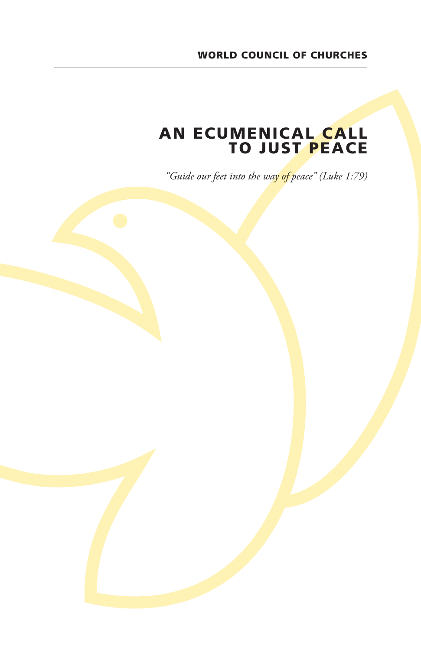World Council of Churches

# An Ecumenical Call TO JUST PEACE

*"Guide our feet into the way of peace" (Luke 1:79)*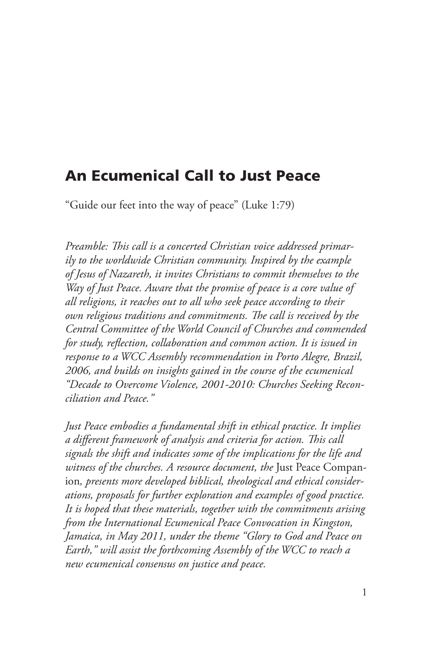## An Ecumenical Call to Just Peace

"Guide our feet into the way of peace" (Luke 1:79)

*Preamble: This call is a concerted Christian voice addressed primarily to the worldwide Christian community. Inspired by the example of Jesus of Nazareth, it invites Christians to commit themselves to the Way of Just Peace. Aware that the promise of peace is a core value of all religions, it reaches out to all who seek peace according to their own religious traditions and commitments. The call is received by the Central Committee of the World Council of Churches and commended for study, reflection, collaboration and common action. It is issued in response to a WCC Assembly recommendation in Porto Alegre, Brazil, 2006, and builds on insights gained in the course of the ecumenical "Decade to Overcome Violence, 2001-2010: Churches Seeking Reconciliation and Peace."*

*Just Peace embodies a fundamental shift in ethical practice. It implies a different framework of analysis and criteria for action. This call signals the shift and indicates some of the implications for the life and*  witness of the churches. A resource document, the Just Peace Companion*, presents more developed biblical, theological and ethical considerations, proposals for further exploration and examples of good practice. It is hoped that these materials, together with the commitments arising from the International Ecumenical Peace Convocation in Kingston, Jamaica, in May 2011, under the theme "Glory to God and Peace on Earth," will assist the forthcoming Assembly of the WCC to reach a new ecumenical consensus on justice and peace.*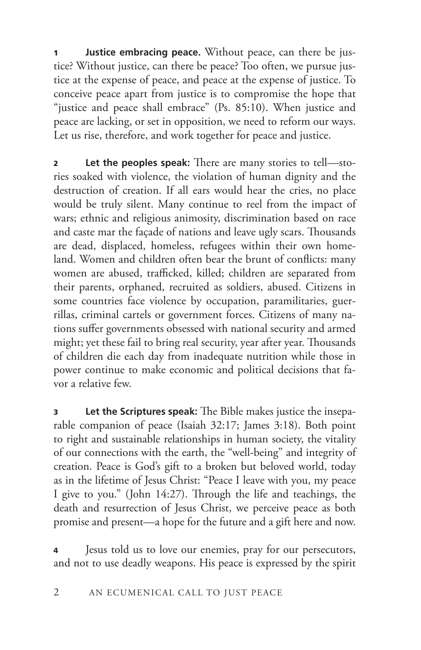Justice embracing peace. Without peace, can there be justice? Without justice, can there be peace? Too often, we pursue justice at the expense of peace, and peace at the expense of justice. To conceive peace apart from justice is to compromise the hope that "justice and peace shall embrace" (Ps. 85:10). When justice and peace are lacking, or set in opposition, we need to reform our ways. Let us rise, therefore, and work together for peace and justice.

<sup>2</sup> **Let the peoples speak:** There are many stories to tell—stories soaked with violence, the violation of human dignity and the destruction of creation. If all ears would hear the cries, no place would be truly silent. Many continue to reel from the impact of wars; ethnic and religious animosity, discrimination based on race and caste mar the façade of nations and leave ugly scars. Thousands are dead, displaced, homeless, refugees within their own homeland. Women and children often bear the brunt of conflicts: many women are abused, trafficked, killed; children are separated from their parents, orphaned, recruited as soldiers, abused. Citizens in some countries face violence by occupation, paramilitaries, guerrillas, criminal cartels or government forces. Citizens of many nations suffer governments obsessed with national security and armed might; yet these fail to bring real security, year after year. Thousands of children die each day from inadequate nutrition while those in power continue to make economic and political decisions that favor a relative few.

Let the Scriptures speak: The Bible makes justice the inseparable companion of peace (Isaiah 32:17; James 3:18). Both point to right and sustainable relationships in human society, the vitality of our connections with the earth, the "well-being" and integrity of creation. Peace is God's gift to a broken but beloved world, today as in the lifetime of Jesus Christ: "Peace I leave with you, my peace I give to you." (John 14:27). Through the life and teachings, the death and resurrection of Jesus Christ, we perceive peace as both promise and present—a hope for the future and a gift here and now.

Jesus told us to love our enemies, pray for our persecutors, and not to use deadly weapons. His peace is expressed by the spirit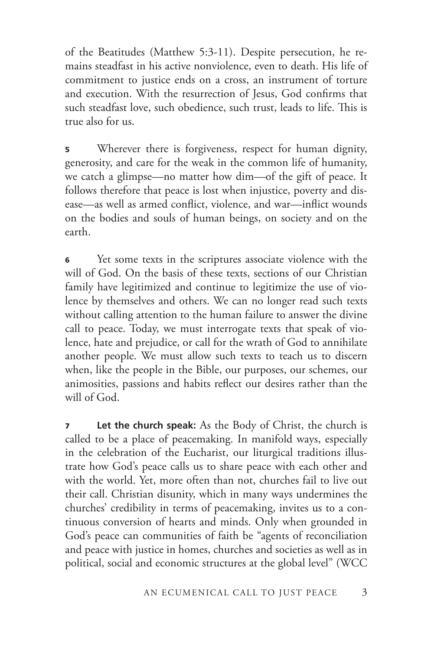of the Beatitudes (Matthew 5:3-11). Despite persecution, he remains steadfast in his active nonviolence, even to death. His life of commitment to justice ends on a cross, an instrument of torture and execution. With the resurrection of Jesus, God confirms that such steadfast love, such obedience, such trust, leads to life. This is true also for us.

5 Wherever there is forgiveness, respect for human dignity, generosity, and care for the weak in the common life of humanity, we catch a glimpse—no matter how dim—of the gift of peace. It follows therefore that peace is lost when injustice, poverty and disease—as well as armed conflict, violence, and war—inflict wounds on the bodies and souls of human beings, on society and on the earth.

<sup>6</sup> Yet some texts in the scriptures associate violence with the will of God. On the basis of these texts, sections of our Christian family have legitimized and continue to legitimize the use of violence by themselves and others. We can no longer read such texts without calling attention to the human failure to answer the divine call to peace. Today, we must interrogate texts that speak of violence, hate and prejudice, or call for the wrath of God to annihilate another people. We must allow such texts to teach us to discern when, like the people in the Bible, our purposes, our schemes, our animosities, passions and habits reflect our desires rather than the will of God.

Let the church speak: As the Body of Christ, the church is called to be a place of peacemaking. In manifold ways, especially in the celebration of the Eucharist, our liturgical traditions illustrate how God's peace calls us to share peace with each other and with the world. Yet, more often than not, churches fail to live out their call. Christian disunity, which in many ways undermines the churches' credibility in terms of peacemaking, invites us to a continuous conversion of hearts and minds. Only when grounded in God's peace can communities of faith be "agents of reconciliation and peace with justice in homes, churches and societies as well as in political, social and economic structures at the global level" (WCC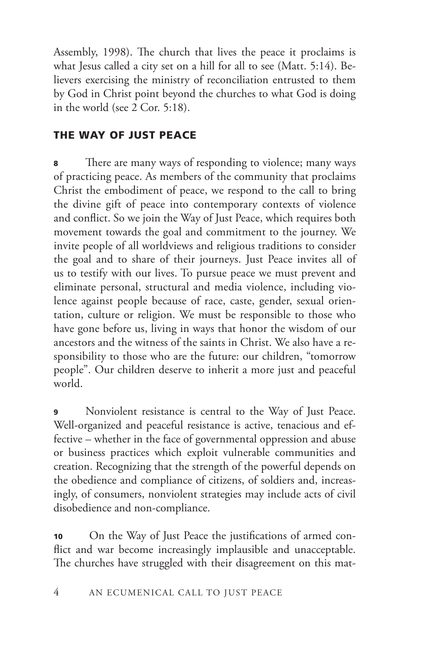Assembly, 1998). The church that lives the peace it proclaims is what Jesus called a city set on a hill for all to see (Matt. 5:14). Believers exercising the ministry of reconciliation entrusted to them by God in Christ point beyond the churches to what God is doing in the world (see 2 Cor. 5:18).

#### THE WAY OF JUST PEACE

There are many ways of responding to violence; many ways of practicing peace. As members of the community that proclaims Christ the embodiment of peace, we respond to the call to bring the divine gift of peace into contemporary contexts of violence and conflict. So we join the Way of Just Peace, which requires both movement towards the goal and commitment to the journey. We invite people of all worldviews and religious traditions to consider the goal and to share of their journeys. Just Peace invites all of us to testify with our lives. To pursue peace we must prevent and eliminate personal, structural and media violence, including violence against people because of race, caste, gender, sexual orientation, culture or religion. We must be responsible to those who have gone before us, living in ways that honor the wisdom of our ancestors and the witness of the saints in Christ. We also have a responsibility to those who are the future: our children, "tomorrow people". Our children deserve to inherit a more just and peaceful world.

Nonviolent resistance is central to the Way of Just Peace. Well-organized and peaceful resistance is active, tenacious and effective – whether in the face of governmental oppression and abuse or business practices which exploit vulnerable communities and creation. Recognizing that the strength of the powerful depends on the obedience and compliance of citizens, of soldiers and, increasingly, of consumers, nonviolent strategies may include acts of civil disobedience and non-compliance.

<sup>10</sup> On the Way of Just Peace the justifications of armed conflict and war become increasingly implausible and unacceptable. The churches have struggled with their disagreement on this mat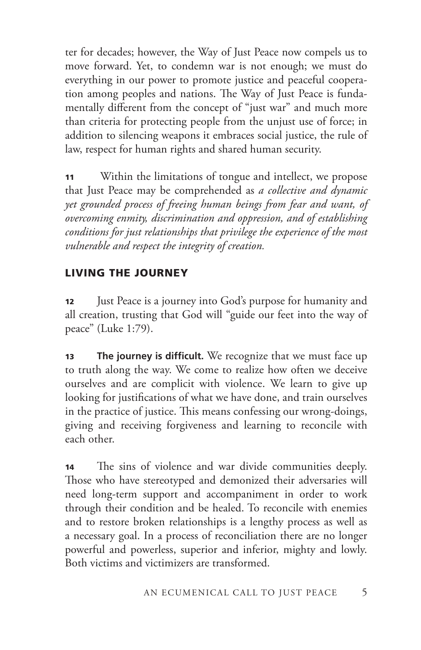ter for decades; however, the Way of Just Peace now compels us to move forward. Yet, to condemn war is not enough; we must do everything in our power to promote justice and peaceful cooperation among peoples and nations. The Way of Just Peace is fundamentally different from the concept of "just war" and much more than criteria for protecting people from the unjust use of force; in addition to silencing weapons it embraces social justice, the rule of law, respect for human rights and shared human security.

<sup>11</sup> Within the limitations of tongue and intellect, we propose that Just Peace may be comprehended as *a collective and dynamic yet grounded process of freeing human beings from fear and want, of overcoming enmity, discrimination and oppression, and of establishing conditions for just relationships that privilege the experience of the most vulnerable and respect the integrity of creation.*

## LIVING THE JOURNEY

12 Just Peace is a journey into God's purpose for humanity and all creation, trusting that God will "guide our feet into the way of peace" (Luke 1:79).

<sup>13</sup> **The journey is difficult.** We recognize that we must face up to truth along the way. We come to realize how often we deceive ourselves and are complicit with violence. We learn to give up looking for justifications of what we have done, and train ourselves in the practice of justice. This means confessing our wrong-doings, giving and receiving forgiveness and learning to reconcile with each other.

14 The sins of violence and war divide communities deeply. Those who have stereotyped and demonized their adversaries will need long-term support and accompaniment in order to work through their condition and be healed. To reconcile with enemies and to restore broken relationships is a lengthy process as well as a necessary goal. In a process of reconciliation there are no longer powerful and powerless, superior and inferior, mighty and lowly. Both victims and victimizers are transformed.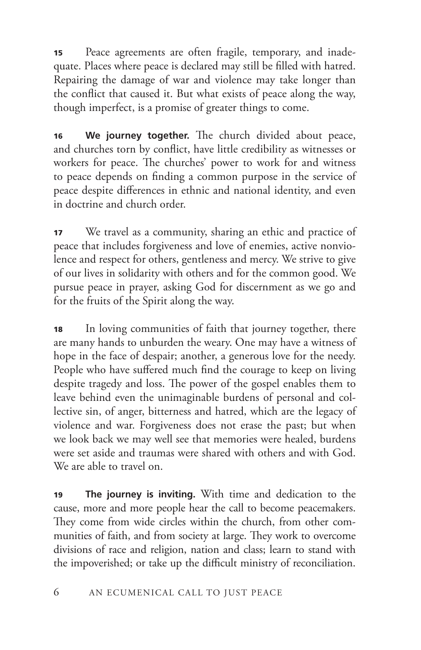15 Peace agreements are often fragile, temporary, and inadequate. Places where peace is declared may still be filled with hatred. Repairing the damage of war and violence may take longer than the conflict that caused it. But what exists of peace along the way, though imperfect, is a promise of greater things to come.

<sup>16</sup> **We journey together.** The church divided about peace, and churches torn by conflict, have little credibility as witnesses or workers for peace. The churches' power to work for and witness to peace depends on finding a common purpose in the service of peace despite differences in ethnic and national identity, and even in doctrine and church order.

17 We travel as a community, sharing an ethic and practice of peace that includes forgiveness and love of enemies, active nonviolence and respect for others, gentleness and mercy. We strive to give of our lives in solidarity with others and for the common good. We pursue peace in prayer, asking God for discernment as we go and for the fruits of the Spirit along the way.

<sup>18</sup> In loving communities of faith that journey together, there are many hands to unburden the weary. One may have a witness of hope in the face of despair; another, a generous love for the needy. People who have suffered much find the courage to keep on living despite tragedy and loss. The power of the gospel enables them to leave behind even the unimaginable burdens of personal and collective sin, of anger, bitterness and hatred, which are the legacy of violence and war. Forgiveness does not erase the past; but when we look back we may well see that memories were healed, burdens were set aside and traumas were shared with others and with God. We are able to travel on.

<sup>19</sup> **The journey is inviting.** With time and dedication to the cause, more and more people hear the call to become peacemakers. They come from wide circles within the church, from other communities of faith, and from society at large. They work to overcome divisions of race and religion, nation and class; learn to stand with the impoverished; or take up the difficult ministry of reconciliation.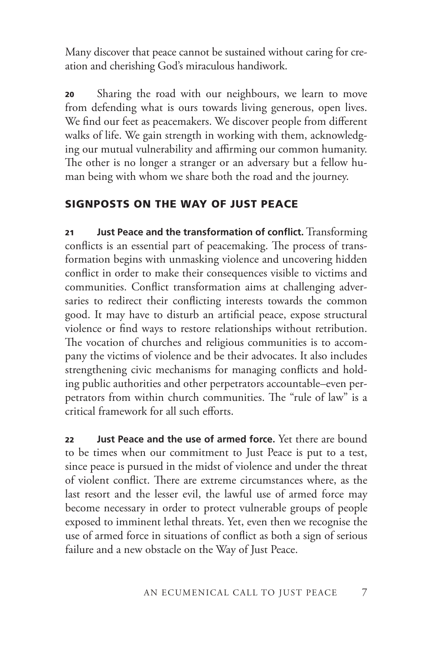Many discover that peace cannot be sustained without caring for creation and cherishing God's miraculous handiwork.

<sup>20</sup> Sharing the road with our neighbours, we learn to move from defending what is ours towards living generous, open lives. We find our feet as peacemakers. We discover people from different walks of life. We gain strength in working with them, acknowledging our mutual vulnerability and affirming our common humanity. The other is no longer a stranger or an adversary but a fellow human being with whom we share both the road and the journey.

#### SIGNPOSTS ON THE WAY OF JUST PEACE

<sup>21</sup> **Just Peace and the transformation of conflict.** Transforming conflicts is an essential part of peacemaking. The process of transformation begins with unmasking violence and uncovering hidden conflict in order to make their consequences visible to victims and communities. Conflict transformation aims at challenging adversaries to redirect their conflicting interests towards the common good. It may have to disturb an artificial peace, expose structural violence or find ways to restore relationships without retribution. The vocation of churches and religious communities is to accompany the victims of violence and be their advocates. It also includes strengthening civic mechanisms for managing conflicts and holding public authorities and other perpetrators accountable–even perpetrators from within church communities. The "rule of law" is a critical framework for all such efforts.

<sup>22</sup> **Just Peace and the use of armed force.** Yet there are bound to be times when our commitment to Just Peace is put to a test, since peace is pursued in the midst of violence and under the threat of violent conflict. There are extreme circumstances where, as the last resort and the lesser evil, the lawful use of armed force may become necessary in order to protect vulnerable groups of people exposed to imminent lethal threats. Yet, even then we recognise the use of armed force in situations of conflict as both a sign of serious failure and a new obstacle on the Way of Just Peace.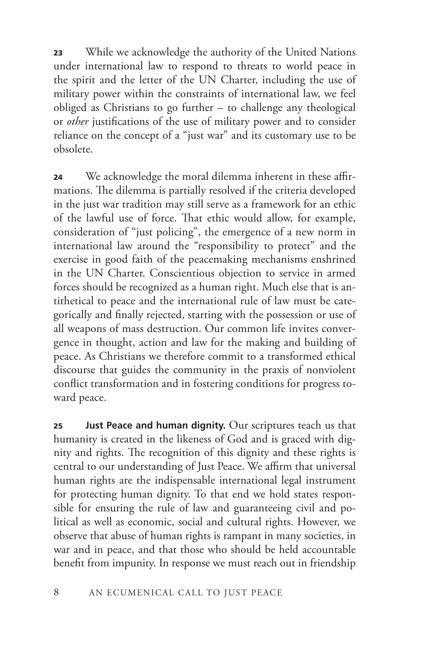23 While we acknowledge the authority of the United Nations under international law to respond to threats to world peace in the spirit and the letter of the UN Charter, including the use of military power within the constraints of international law, we feel obliged as Christians to go further – to challenge any theological or *other* justifications of the use of military power and to consider reliance on the concept of a "just war" and its customary use to be obsolete.

**24** We acknowledge the moral dilemma inherent in these affirmations. The dilemma is partially resolved if the criteria developed in the just war tradition may still serve as a framework for an ethic of the lawful use of force. That ethic would allow, for example, consideration of "just policing", the emergence of a new norm in international law around the "responsibility to protect" and the exercise in good faith of the peacemaking mechanisms enshrined in the UN Charter. Conscientious objection to service in armed forces should be recognized as a human right. Much else that is antithetical to peace and the international rule of law must be categorically and finally rejected, starting with the possession or use of all weapons of mass destruction. Our common life invites convergence in thought, action and law for the making and building of peace. As Christians we therefore commit to a transformed ethical discourse that guides the community in the praxis of nonviolent conflict transformation and in fostering conditions for progress toward peace.

<sup>25</sup> **Just Peace and human dignity.** Our scriptures teach us that humanity is created in the likeness of God and is graced with dignity and rights. The recognition of this dignity and these rights is central to our understanding of Just Peace. We affirm that universal human rights are the indispensable international legal instrument for protecting human dignity. To that end we hold states responsible for ensuring the rule of law and guaranteeing civil and political as well as economic, social and cultural rights. However, we observe that abuse of human rights is rampant in many societies, in war and in peace, and that those who should be held accountable benefit from impunity. In response we must reach out in friendship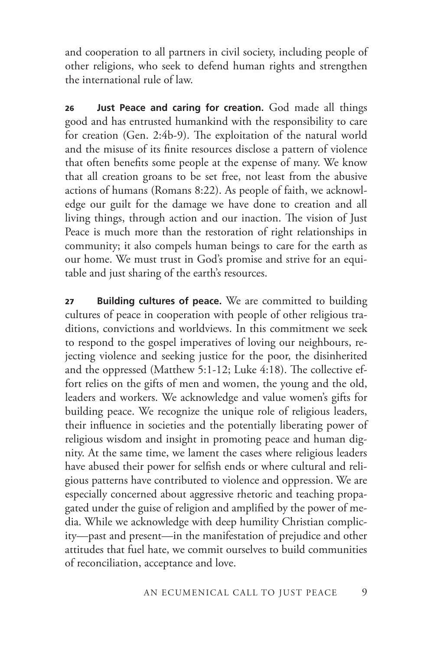and cooperation to all partners in civil society, including people of other religions, who seek to defend human rights and strengthen the international rule of law.

<sup>26</sup> **Just Peace and caring for creation.** God made all things good and has entrusted humankind with the responsibility to care for creation (Gen. 2:4b-9). The exploitation of the natural world and the misuse of its finite resources disclose a pattern of violence that often benefits some people at the expense of many. We know that all creation groans to be set free, not least from the abusive actions of humans (Romans 8:22). As people of faith, we acknowledge our guilt for the damage we have done to creation and all living things, through action and our inaction. The vision of Just Peace is much more than the restoration of right relationships in community; it also compels human beings to care for the earth as our home. We must trust in God's promise and strive for an equitable and just sharing of the earth's resources.

<sup>27</sup> **Building cultures of peace.** We are committed to building cultures of peace in cooperation with people of other religious traditions, convictions and worldviews. In this commitment we seek to respond to the gospel imperatives of loving our neighbours, rejecting violence and seeking justice for the poor, the disinherited and the oppressed (Matthew 5:1-12; Luke 4:18). The collective effort relies on the gifts of men and women, the young and the old, leaders and workers. We acknowledge and value women's gifts for building peace. We recognize the unique role of religious leaders, their influence in societies and the potentially liberating power of religious wisdom and insight in promoting peace and human dignity. At the same time, we lament the cases where religious leaders have abused their power for selfish ends or where cultural and religious patterns have contributed to violence and oppression. We are especially concerned about aggressive rhetoric and teaching propagated under the guise of religion and amplified by the power of media. While we acknowledge with deep humility Christian complicity—past and present—in the manifestation of prejudice and other attitudes that fuel hate, we commit ourselves to build communities of reconciliation, acceptance and love.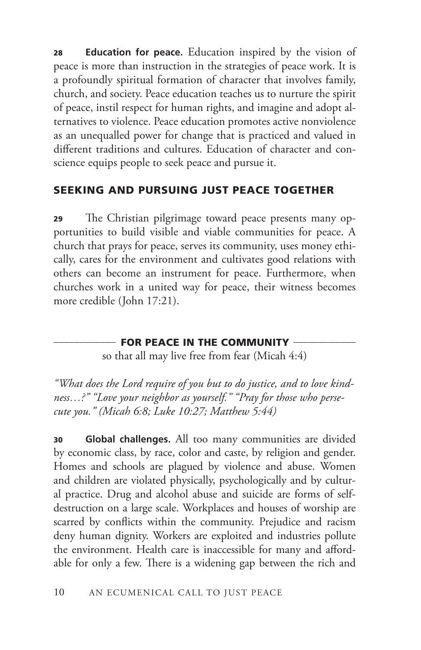<sup>28</sup> **Education for peace.** Education inspired by the vision of peace is more than instruction in the strategies of peace work. It is a profoundly spiritual formation of character that involves family, church, and society. Peace education teaches us to nurture the spirit of peace, instil respect for human rights, and imagine and adopt alternatives to violence. Peace education promotes active nonviolence as an unequalled power for change that is practiced and valued in different traditions and cultures. Education of character and conscience equips people to seek peace and pursue it.

### SEEKING AND PURSUING JUST PEACE TOGETHER

29 The Christian pilgrimage toward peace presents many opportunities to build visible and viable communities for peace. A church that prays for peace, serves its community, uses money ethically, cares for the environment and cultivates good relations with others can become an instrument for peace. Furthermore, when churches work in a united way for peace, their witness becomes more credible (John 17:21).

> FOR PEACE IN THE COMMUNITY so that all may live free from fear (Micah 4:4)

*"What does the Lord require of you but to do justice, and to love kindness…?" "Love your neighbor as yourself." "Pray for those who persecute you." (Micah 6:8; Luke 10:27; Matthew 5:44)*

<sup>30</sup> **Global challenges.** All too many communities are divided by economic class, by race, color and caste, by religion and gender. Homes and schools are plagued by violence and abuse. Women and children are violated physically, psychologically and by cultural practice. Drug and alcohol abuse and suicide are forms of selfdestruction on a large scale. Workplaces and houses of worship are scarred by conflicts within the community. Prejudice and racism deny human dignity. Workers are exploited and industries pollute the environment. Health care is inaccessible for many and affordable for only a few. There is a widening gap between the rich and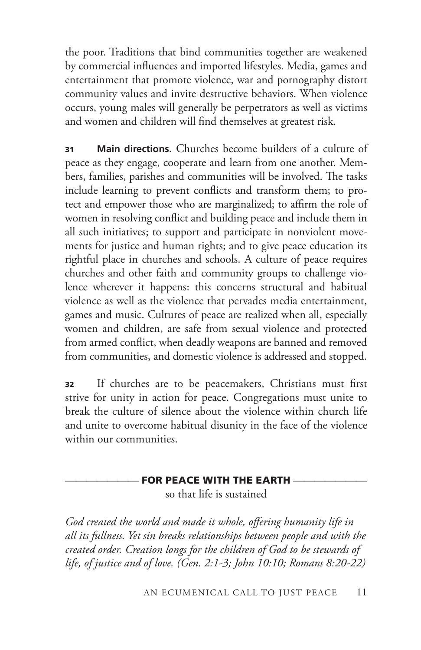the poor. Traditions that bind communities together are weakened by commercial influences and imported lifestyles. Media, games and entertainment that promote violence, war and pornography distort community values and invite destructive behaviors. When violence occurs, young males will generally be perpetrators as well as victims and women and children will find themselves at greatest risk.

<sup>31</sup> **Main directions.** Churches become builders of a culture of peace as they engage, cooperate and learn from one another. Members, families, parishes and communities will be involved. The tasks include learning to prevent conflicts and transform them; to protect and empower those who are marginalized; to affirm the role of women in resolving conflict and building peace and include them in all such initiatives; to support and participate in nonviolent movements for justice and human rights; and to give peace education its rightful place in churches and schools. A culture of peace requires churches and other faith and community groups to challenge violence wherever it happens: this concerns structural and habitual violence as well as the violence that pervades media entertainment, games and music. Cultures of peace are realized when all, especially women and children, are safe from sexual violence and protected from armed conflict, when deadly weapons are banned and removed from communities, and domestic violence is addressed and stopped.

<sup>32</sup> If churches are to be peacemakers, Christians must first strive for unity in action for peace. Congregations must unite to break the culture of silence about the violence within church life and unite to overcome habitual disunity in the face of the violence within our communities.

# FOR PEACE WITH THE EARTH .

so that life is sustained

*God created the world and made it whole, offering humanity life in all its fullness. Yet sin breaks relationships between people and with the created order. Creation longs for the children of God to be stewards of life, of justice and of love. (Gen. 2:1-3; John 10:10; Romans 8:20-22)*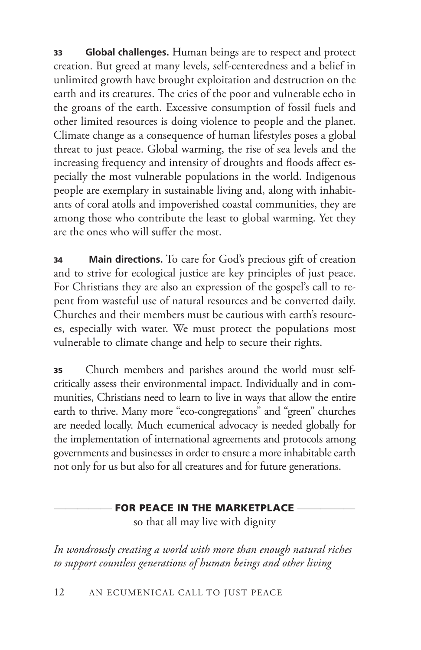<sup>33</sup> **Global challenges.** Human beings are to respect and protect creation. But greed at many levels, self-centeredness and a belief in unlimited growth have brought exploitation and destruction on the earth and its creatures. The cries of the poor and vulnerable echo in the groans of the earth. Excessive consumption of fossil fuels and other limited resources is doing violence to people and the planet. Climate change as a consequence of human lifestyles poses a global threat to just peace. Global warming, the rise of sea levels and the increasing frequency and intensity of droughts and floods affect especially the most vulnerable populations in the world. Indigenous people are exemplary in sustainable living and, along with inhabitants of coral atolls and impoverished coastal communities, they are among those who contribute the least to global warming. Yet they are the ones who will suffer the most.

<sup>34</sup> **Main directions.** To care for God's precious gift of creation and to strive for ecological justice are key principles of just peace. For Christians they are also an expression of the gospel's call to repent from wasteful use of natural resources and be converted daily. Churches and their members must be cautious with earth's resources, especially with water. We must protect the populations most vulnerable to climate change and help to secure their rights.

35 Church members and parishes around the world must selfcritically assess their environmental impact. Individually and in communities, Christians need to learn to live in ways that allow the entire earth to thrive. Many more "eco-congregations" and "green" churches are needed locally. Much ecumenical advocacy is needed globally for the implementation of international agreements and protocols among governments and businesses in order to ensure a more inhabitable earth not only for us but also for all creatures and for future generations.

#### FOR PEACE IN THE MARKETPLACE so that all may live with dignity

*In wondrously creating a world with more than enough natural riches* 

*to support countless generations of human beings and other living*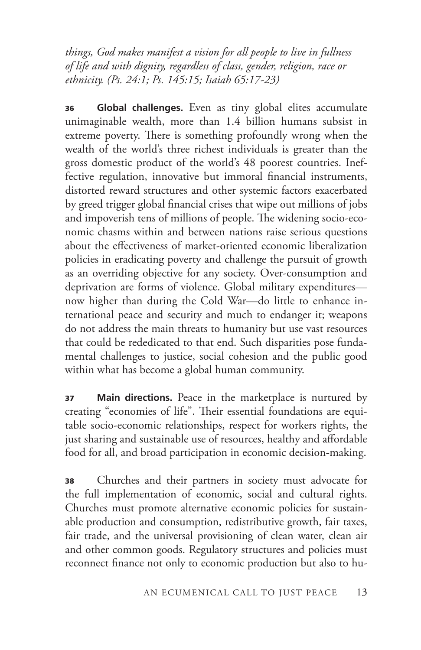*things, God makes manifest a vision for all people to live in fullness of life and with dignity, regardless of class, gender, religion, race or ethnicity. (Ps. 24:1; Ps. 145:15; Isaiah 65:17-23)*

<sup>36</sup> **Global challenges.** Even as tiny global elites accumulate unimaginable wealth, more than 1.4 billion humans subsist in extreme poverty. There is something profoundly wrong when the wealth of the world's three richest individuals is greater than the gross domestic product of the world's 48 poorest countries. Ineffective regulation, innovative but immoral financial instruments, distorted reward structures and other systemic factors exacerbated by greed trigger global financial crises that wipe out millions of jobs and impoverish tens of millions of people. The widening socio-economic chasms within and between nations raise serious questions about the effectiveness of market-oriented economic liberalization policies in eradicating poverty and challenge the pursuit of growth as an overriding objective for any society. Over-consumption and deprivation are forms of violence. Global military expenditures now higher than during the Cold War—do little to enhance international peace and security and much to endanger it; weapons do not address the main threats to humanity but use vast resources that could be rededicated to that end. Such disparities pose fundamental challenges to justice, social cohesion and the public good within what has become a global human community.

<sup>37</sup> **Main directions.** Peace in the marketplace is nurtured by creating "economies of life". Their essential foundations are equitable socio-economic relationships, respect for workers rights, the just sharing and sustainable use of resources, healthy and affordable food for all, and broad participation in economic decision-making.

38 Churches and their partners in society must advocate for the full implementation of economic, social and cultural rights. Churches must promote alternative economic policies for sustainable production and consumption, redistributive growth, fair taxes, fair trade, and the universal provisioning of clean water, clean air and other common goods. Regulatory structures and policies must reconnect finance not only to economic production but also to hu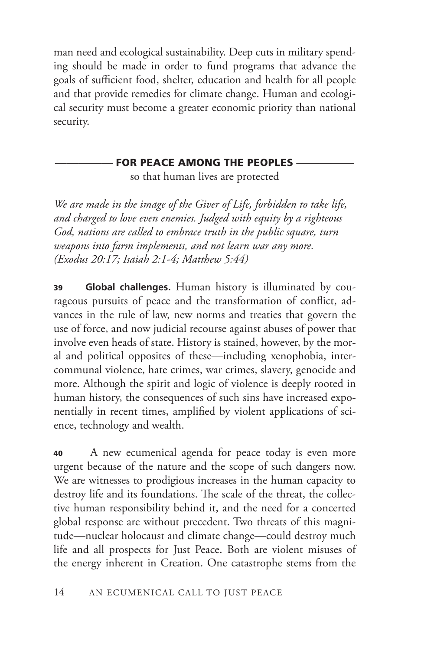man need and ecological sustainability. Deep cuts in military spending should be made in order to fund programs that advance the goals of sufficient food, shelter, education and health for all people and that provide remedies for climate change. Human and ecological security must become a greater economic priority than national security.

**FOR PEACE AMONG THE PEOPLES** 

so that human lives are protected

*We are made in the image of the Giver of Life, forbidden to take life, and charged to love even enemies. Judged with equity by a righteous God, nations are called to embrace truth in the public square, turn weapons into farm implements, and not learn war any more. (Exodus 20:17; Isaiah 2:1-4; Matthew 5:44)*

<sup>39</sup> **Global challenges.** Human history is illuminated by courageous pursuits of peace and the transformation of conflict, advances in the rule of law, new norms and treaties that govern the use of force, and now judicial recourse against abuses of power that involve even heads of state. History is stained, however, by the moral and political opposites of these—including xenophobia, intercommunal violence, hate crimes, war crimes, slavery, genocide and more. Although the spirit and logic of violence is deeply rooted in human history, the consequences of such sins have increased exponentially in recent times, amplified by violent applications of science, technology and wealth.

40 A new ecumenical agenda for peace today is even more urgent because of the nature and the scope of such dangers now. We are witnesses to prodigious increases in the human capacity to destroy life and its foundations. The scale of the threat, the collective human responsibility behind it, and the need for a concerted global response are without precedent. Two threats of this magnitude—nuclear holocaust and climate change—could destroy much life and all prospects for Just Peace. Both are violent misuses of the energy inherent in Creation. One catastrophe stems from the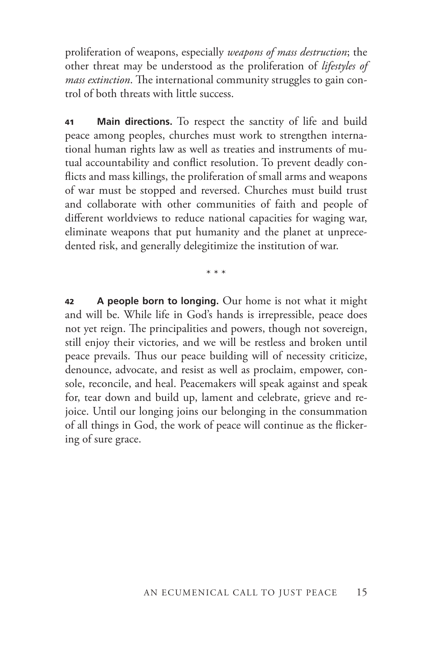proliferation of weapons, especially *weapons of mass destruction*; the other threat may be understood as the proliferation of *lifestyles of mass extinction*. The international community struggles to gain control of both threats with little success.

<sup>41</sup> **Main directions.** To respect the sanctity of life and build peace among peoples, churches must work to strengthen international human rights law as well as treaties and instruments of mutual accountability and conflict resolution. To prevent deadly conflicts and mass killings, the proliferation of small arms and weapons of war must be stopped and reversed. Churches must build trust and collaborate with other communities of faith and people of different worldviews to reduce national capacities for waging war, eliminate weapons that put humanity and the planet at unprecedented risk, and generally delegitimize the institution of war.

\* \* \*

<sup>42</sup> **A people born to longing.** Our home is not what it might and will be. While life in God's hands is irrepressible, peace does not yet reign. The principalities and powers, though not sovereign, still enjoy their victories, and we will be restless and broken until peace prevails. Thus our peace building will of necessity criticize, denounce, advocate, and resist as well as proclaim, empower, console, reconcile, and heal. Peacemakers will speak against and speak for, tear down and build up, lament and celebrate, grieve and rejoice. Until our longing joins our belonging in the consummation of all things in God, the work of peace will continue as the flickering of sure grace.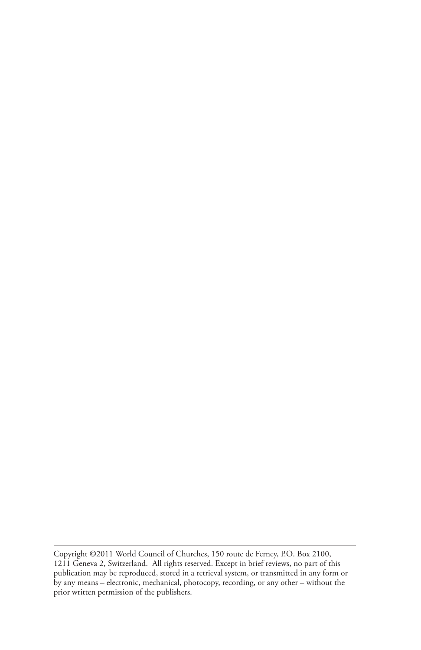Copyright ©2011 World Council of Churches, 150 route de Ferney, P.O. Box 2100, 1211 Geneva 2, Switzerland. All rights reserved. Except in brief reviews, no part of this publication may be reproduced, stored in a retrieval system, or transmitted in any form or by any means – electronic, mechanical, photocopy, recording, or any other – without the prior written permission of the publishers.